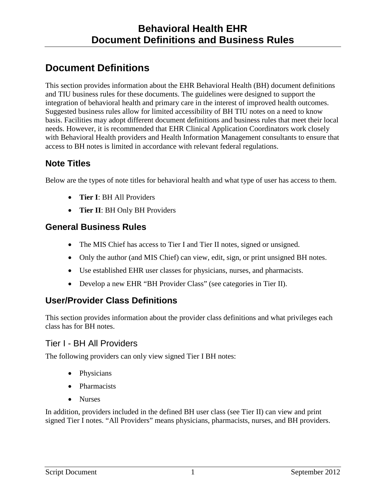# **Document Definitions**

This section provides information about the EHR Behavioral Health (BH) document definitions and TIU business rules for these documents. The guidelines were designed to support the integration of behavioral health and primary care in the interest of improved health outcomes. Suggested business rules allow for limited accessibility of BH TIU notes on a need to know basis. Facilities may adopt different document definitions and business rules that meet their local needs. However, it is recommended that EHR Clinical Application Coordinators work closely with Behavioral Health providers and Health Information Management consultants to ensure that access to BH notes is limited in accordance with relevant federal regulations.

## **Note Titles**

Below are the types of note titles for behavioral health and what type of user has access to them.

- **Tier I**: BH All Providers
- **Tier II**: BH Only BH Providers

### **General Business Rules**

- The MIS Chief has access to Tier I and Tier II notes, signed or unsigned.
- Only the author (and MIS Chief) can view, edit, sign, or print unsigned BH notes.
- Use established EHR user classes for physicians, nurses, and pharmacists.
- Develop a new EHR "BH Provider Class" (see categories in Tier II).

## **User/Provider Class Definitions**

This section provides information about the provider class definitions and what privileges each class has for BH notes.

### Tier I - BH All Providers

The following providers can only view signed Tier I BH notes:

- Physicians
- Pharmacists
- Nurses

In addition, providers included in the defined BH user class (see Tier II) can view and print signed Tier I notes. "All Providers" means physicians, pharmacists, nurses, and BH providers.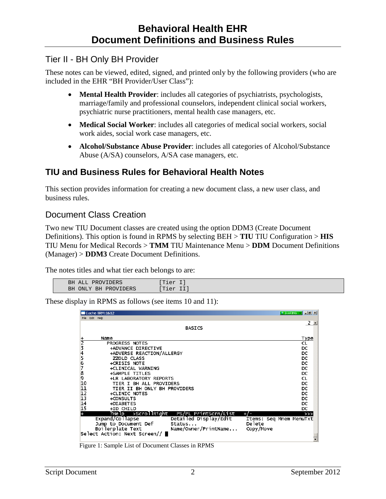#### Tier II - BH Only BH Provider

These notes can be viewed, edited, signed, and printed only by the following providers (who are included in the EHR "BH Provider/User Class"):

- **Mental Health Provider**: includes all categories of psychiatrists, psychologists, marriage/family and professional counselors, independent clinical social workers, psychiatric nurse practitioners, mental health case managers, etc.
- **Medical Social Worker**: includes all categories of medical social workers, social work aides, social work case managers, etc.
- **Alcohol/Substance Abuse Provider**: includes all categories of Alcohol/Substance Abuse (A/SA) counselors, A/SA case managers, etc.

### **TIU and Business Rules for Behavioral Health Notes**

This section provides information for creating a new document class, a new user class, and business rules.

### Document Class Creation

Two new TIU Document classes are created using the option DDM3 (Create Document Definitions). This option is found in RPMS by selecting BEH > **TIU** TIU Configuration > **HIS** TIU Menu for Medical Records > **TMM** TIU Maintenance Menu > **DDM** Document Definitions (Manager) > **DDM3** Create Document Definitions.

The notes titles and what tier each belongs to are:

| I ALL PROVIDERS<br>ВH   | Tier I)  |  |
|-------------------------|----------|--|
| ONLY BH PROVIDERS<br>ВH | Tier II) |  |
|                         |          |  |

These display in RPMS as follows (see items 10 and 11):

|                 | Cache TRM: 1612                                   |                         | $\bullet$ SHARING $\bullet$ $\blacksquare$ $\blacksquare$ $\blacksquare$ |  |  |  |  |  |  |  |  |
|-----------------|---------------------------------------------------|-------------------------|--------------------------------------------------------------------------|--|--|--|--|--|--|--|--|
| File            | Edit Help                                         |                         |                                                                          |  |  |  |  |  |  |  |  |
|                 | <b>BASICS</b>                                     |                         |                                                                          |  |  |  |  |  |  |  |  |
|                 | Name                                              |                         | <u>Type</u>                                                              |  |  |  |  |  |  |  |  |
| 2               | PROGRESS NOTES                                    |                         | <b>CL</b>                                                                |  |  |  |  |  |  |  |  |
| 3456789         | +ADVANCE DIRECTIVE                                |                         | DC                                                                       |  |  |  |  |  |  |  |  |
|                 | +ADVERSE REACTION/ALLERGY                         |                         | DC                                                                       |  |  |  |  |  |  |  |  |
|                 | <b>ZZOLD CLASS</b>                                |                         | DC                                                                       |  |  |  |  |  |  |  |  |
|                 | +CRISIS NOTE                                      |                         | DC                                                                       |  |  |  |  |  |  |  |  |
|                 | +CLINICAL WARNING                                 |                         | DC                                                                       |  |  |  |  |  |  |  |  |
|                 | +SAMPLE TITLES                                    |                         | DC                                                                       |  |  |  |  |  |  |  |  |
| 10              | +LR LABORATORY REPORTS<br>TIER I BH ALL PROVIDERS |                         | CL.<br>DC.                                                               |  |  |  |  |  |  |  |  |
| 11              | TIER II BH ONLY BH PROVIDERS                      |                         | DC                                                                       |  |  |  |  |  |  |  |  |
|                 | +CLINIC NOTES                                     |                         | DC                                                                       |  |  |  |  |  |  |  |  |
| $\frac{12}{13}$ | +CONSULTS                                         |                         | DC                                                                       |  |  |  |  |  |  |  |  |
| 14              | +DIABETES                                         |                         | DC                                                                       |  |  |  |  |  |  |  |  |
| 15              | +ID CHILD                                         |                         | DC                                                                       |  |  |  |  |  |  |  |  |
|                 | PS/PL PrintScrn/List<br>?Help >ScrollRight        | $+1-$                   | >>                                                                       |  |  |  |  |  |  |  |  |
|                 | Detailed Display/Edit<br>Expand/Collapse          | Items: Seq Mnem MenuTxt |                                                                          |  |  |  |  |  |  |  |  |
|                 | Jump to Document Def<br>Status                    | Delete                  |                                                                          |  |  |  |  |  |  |  |  |
|                 | Boilerplate Text<br>Name/Owner/PrintName          | Copy/Move               |                                                                          |  |  |  |  |  |  |  |  |
|                 | Select Action: Next Screen// ■                    |                         |                                                                          |  |  |  |  |  |  |  |  |
|                 |                                                   |                         |                                                                          |  |  |  |  |  |  |  |  |

Figure 1: Sample List of Document Classes in RPMS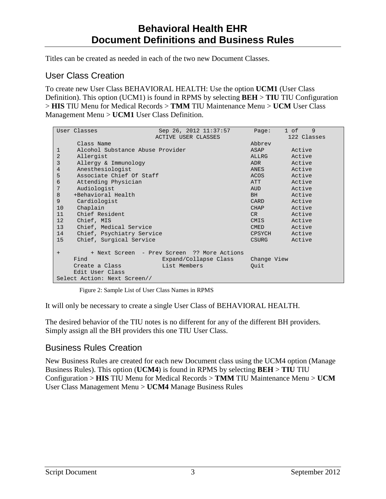Titles can be created as needed in each of the two new Document Classes.

### User Class Creation

To create new User Class BEHAVIORAL HEALTH: Use the option **UCM1** (User Class Definition). This option (UCM1) is found in RPMS by selecting **BEH** > **TIU** TIU Configuration > **HIS** TIU Menu for Medical Records > **TMM** TIU Maintenance Menu > **UCM** User Class Management Menu > **UCM1** User Class Definition.

|                | User Classes                     | Sep 26, 2012 11:37:57                       | Page:        | 9<br>1 of   |  |  |  |
|----------------|----------------------------------|---------------------------------------------|--------------|-------------|--|--|--|
|                |                                  | ACTIVE USER CLASSES                         |              | 122 Classes |  |  |  |
|                | Class Name                       |                                             | Abbrey       |             |  |  |  |
| 1              | Alcohol Substance Abuse Provider | ASAP                                        | Active       |             |  |  |  |
| $\overline{2}$ | Allergist                        | ALLRG                                       | Active       |             |  |  |  |
| 3              | Allergy & Immunology             | ADR                                         | Active       |             |  |  |  |
| $\overline{4}$ | Anesthesiologist                 | ANES                                        | Active       |             |  |  |  |
| 5              | Associate Chief Of Staff         | ACOS                                        | Active       |             |  |  |  |
| 6              | Attending Physician              | ATT                                         | Active       |             |  |  |  |
| 7              | Audiologist                      | AUD                                         | Active       |             |  |  |  |
| 8              | +Behavioral Health               | BH -                                        | Active       |             |  |  |  |
| 9              | Cardiologist                     | CARD                                        | Active       |             |  |  |  |
| 10             | Chaplain                         | <b>CHAP</b>                                 | Active       |             |  |  |  |
| 11             | Chief Resident                   | CR                                          | Active       |             |  |  |  |
| 12             | Chief, MIS                       | CMIS                                        | Active       |             |  |  |  |
| 13             | Chief, Medical Service           | <b>CMED</b>                                 | Active       |             |  |  |  |
| 14             | Chief, Psychiatry Service        |                                             | CPSYCH       | Active      |  |  |  |
| 15             | Chief, Surgical Service          |                                             | <b>CSURG</b> | Active      |  |  |  |
|                |                                  |                                             |              |             |  |  |  |
| $+$            |                                  | + Next Screen - Prev Screen ?? More Actions |              |             |  |  |  |
|                | Find                             | Expand/Collapse Class                       | Change View  |             |  |  |  |
|                | Create a Class                   | List Members                                | Quit         |             |  |  |  |
|                | Edit User Class                  |                                             |              |             |  |  |  |
|                | Select Action: Next Screen//     |                                             |              |             |  |  |  |

Figure 2: Sample List of User Class Names in RPMS

It will only be necessary to create a single User Class of BEHAVIORAL HEALTH.

The desired behavior of the TIU notes is no different for any of the different BH providers. Simply assign all the BH providers this one TIU User Class.

### Business Rules Creation

New Business Rules are created for each new Document class using the UCM4 option (Manage Business Rules). This option (**UCM4**) is found in RPMS by selecting **BEH** > **TIU** TIU Configuration > **HIS** TIU Menu for Medical Records > **TMM** TIU Maintenance Menu > **UCM** User Class Management Menu > **UCM4** Manage Business Rules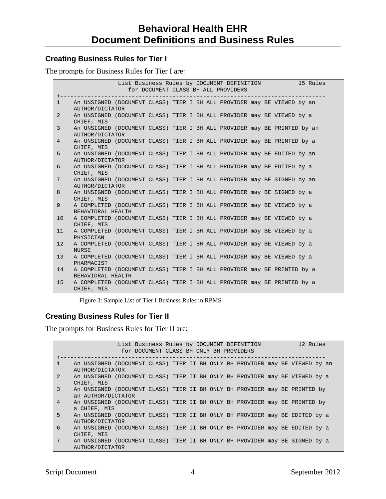#### **Creating Business Rules for Tier I**

The prompts for Business Rules for Tier I are:

|                | List Business Rules by DOCUMENT DEFINITION<br>15 Rules<br>for DOCUMENT CLASS BH ALL PROVIDERS |  |  |  |  |  |  |  |  |  |  |  |  |
|----------------|-----------------------------------------------------------------------------------------------|--|--|--|--|--|--|--|--|--|--|--|--|
| $\mathbf{1}$   | An UNSIGNED (DOCUMENT CLASS) TIER I BH ALL PROVIDER may BE VIEWED by an<br>AUTHOR/DICTATOR    |  |  |  |  |  |  |  |  |  |  |  |  |
| $\overline{2}$ | An UNSIGNED (DOCUMENT CLASS) TIER I BH ALL PROVIDER may BE VIEWED by a<br>CHIEF, MIS          |  |  |  |  |  |  |  |  |  |  |  |  |
| 3              | An UNSIGNED (DOCUMENT CLASS) TIER I BH ALL PROVIDER may BE PRINTED by an<br>AUTHOR/DICTATOR   |  |  |  |  |  |  |  |  |  |  |  |  |
| $\overline{4}$ | An UNSIGNED (DOCUMENT CLASS) TIER I BH ALL PROVIDER may BE PRINTED by a<br>CHIEF, MIS         |  |  |  |  |  |  |  |  |  |  |  |  |
| 5              | An UNSIGNED (DOCUMENT CLASS) TIER I BH ALL PROVIDER may BE EDITED by an<br>AUTHOR/DICTATOR    |  |  |  |  |  |  |  |  |  |  |  |  |
| 6              | An UNSIGNED (DOCUMENT CLASS) TIER I BH ALL PROVIDER may BE EDITED by a<br>CHIEF, MIS          |  |  |  |  |  |  |  |  |  |  |  |  |
| 7              | An UNSIGNED (DOCUMENT CLASS) TIER I BH ALL PROVIDER may BE SIGNED by an<br>AUTHOR/DICTATOR    |  |  |  |  |  |  |  |  |  |  |  |  |
| 8              | An UNSIGNED (DOCUMENT CLASS) TIER I BH ALL PROVIDER may BE SIGNED by a<br>CHIEF, MIS          |  |  |  |  |  |  |  |  |  |  |  |  |
| 9              | A COMPLETED (DOCUMENT CLASS) TIER I BH ALL PROVIDER may BE VIEWED by a<br>BEHAVIORAL HEALTH   |  |  |  |  |  |  |  |  |  |  |  |  |
| 10             | A COMPLETED (DOCUMENT CLASS) TIER I BH ALL PROVIDER may BE VIEWED by a<br>CHIEF, MIS          |  |  |  |  |  |  |  |  |  |  |  |  |
| 11             | A COMPLETED (DOCUMENT CLASS) TIER I BH ALL PROVIDER may BE VIEWED by a<br>PHYSICIAN           |  |  |  |  |  |  |  |  |  |  |  |  |
| 12             | A COMPLETED (DOCUMENT CLASS) TIER I BH ALL PROVIDER may BE VIEWED by a<br><b>NURSE</b>        |  |  |  |  |  |  |  |  |  |  |  |  |
| 13             | A COMPLETED (DOCUMENT CLASS) TIER I BH ALL PROVIDER may BE VIEWED by a<br>PHARMACIST          |  |  |  |  |  |  |  |  |  |  |  |  |
| 14             | A COMPLETED (DOCUMENT CLASS) TIER I BH ALL PROVIDER may BE PRINTED by a<br>BEHAVIORAL HEALTH  |  |  |  |  |  |  |  |  |  |  |  |  |
| 15             | A COMPLETED (DOCUMENT CLASS) TIER I BH ALL PROVIDER may BE PRINTED by a<br>CHIEF, MIS         |  |  |  |  |  |  |  |  |  |  |  |  |

Figure 3: Sample List of Tier I Business Rules in RPMS

#### **Creating Business Rules for Tier II**

The prompts for Business Rules for Tier II are:

|                 | List Business Rules by DOCUMENT DEFINITION                                   |  |  |  |  |  |  |  |  |  | 12 Rules |  |  |  |
|-----------------|------------------------------------------------------------------------------|--|--|--|--|--|--|--|--|--|----------|--|--|--|
|                 | for DOCUMENT CLASS BH ONLY BH PROVIDERS                                      |  |  |  |  |  |  |  |  |  |          |  |  |  |
|                 |                                                                              |  |  |  |  |  |  |  |  |  |          |  |  |  |
| $\mathbf{1}$    | An UNSIGNED (DOCUMENT CLASS) TIER II BH ONLY BH PROVIDER may BE VIEWED by an |  |  |  |  |  |  |  |  |  |          |  |  |  |
|                 | AUTHOR/DICTATOR                                                              |  |  |  |  |  |  |  |  |  |          |  |  |  |
| 2               | An UNSIGNED (DOCUMENT CLASS) TIER II BH ONLY BH PROVIDER may BE VIEWED by a  |  |  |  |  |  |  |  |  |  |          |  |  |  |
|                 | CHIEF, MIS                                                                   |  |  |  |  |  |  |  |  |  |          |  |  |  |
| $\overline{3}$  | An UNSIGNED (DOCUMENT CLASS) TIER II BH ONLY BH PROVIDER may BE PRINTED by   |  |  |  |  |  |  |  |  |  |          |  |  |  |
|                 | an AUTHOR/DICTATOR                                                           |  |  |  |  |  |  |  |  |  |          |  |  |  |
| $\overline{4}$  | An UNSIGNED (DOCUMENT CLASS) TIER II BH ONLY BH PROVIDER may BE PRINTED by   |  |  |  |  |  |  |  |  |  |          |  |  |  |
|                 | a CHIEF, MIS                                                                 |  |  |  |  |  |  |  |  |  |          |  |  |  |
| 5               | An UNSIGNED (DOCUMENT CLASS) TIER II BH ONLY BH PROVIDER may BE EDITED by a  |  |  |  |  |  |  |  |  |  |          |  |  |  |
|                 | AUTHOR/DICTATOR                                                              |  |  |  |  |  |  |  |  |  |          |  |  |  |
| 6               | An UNSIGNED (DOCUMENT CLASS) TIER II BH ONLY BH PROVIDER may BE EDITED by a  |  |  |  |  |  |  |  |  |  |          |  |  |  |
|                 | CHIEF, MIS                                                                   |  |  |  |  |  |  |  |  |  |          |  |  |  |
| $7\phantom{.0}$ | An UNSIGNED (DOCUMENT CLASS) TIER II BH ONLY BH PROVIDER may BE SIGNED by a  |  |  |  |  |  |  |  |  |  |          |  |  |  |
|                 | AUTHOR/DICTATOR                                                              |  |  |  |  |  |  |  |  |  |          |  |  |  |